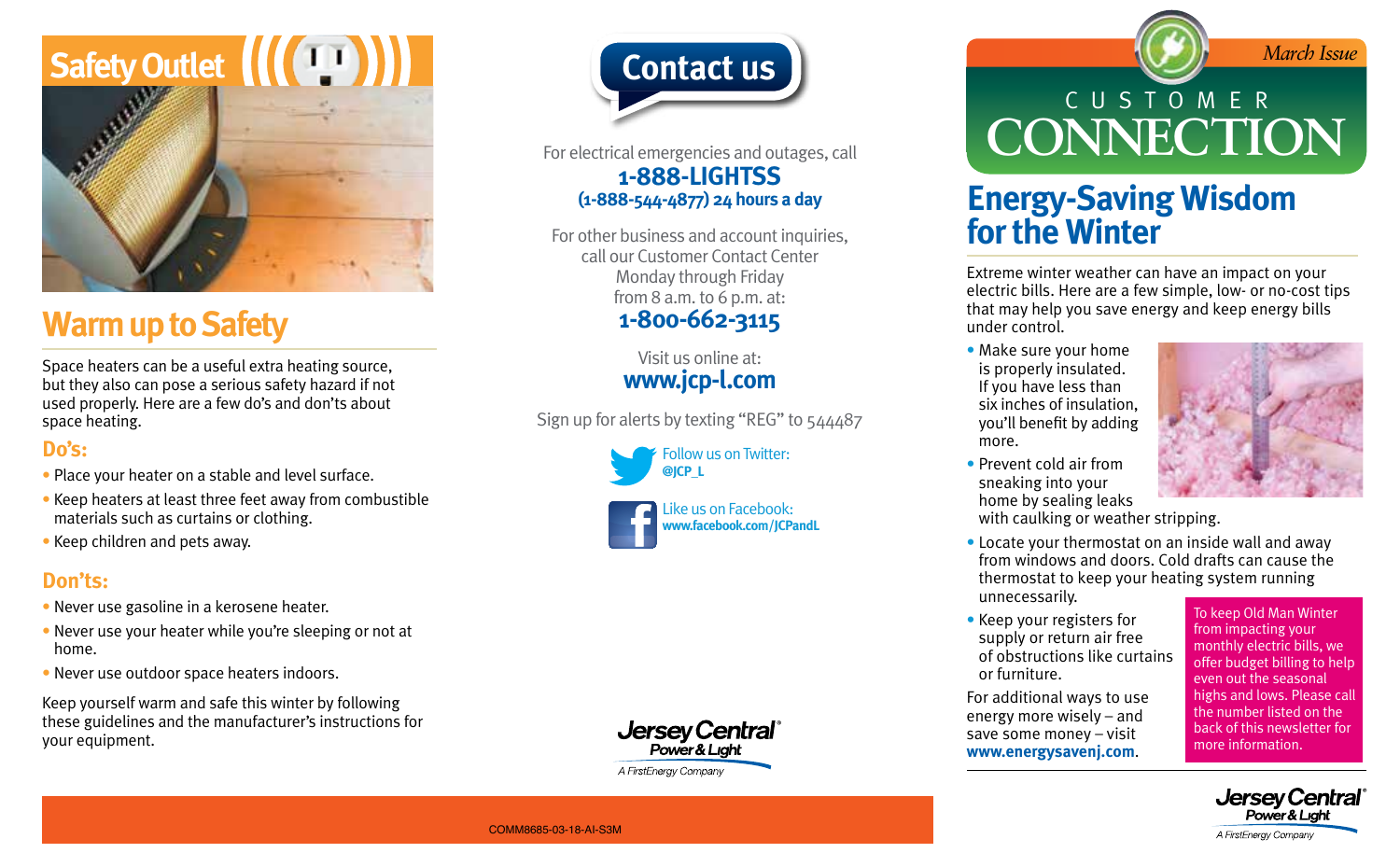

### **Warm up to Safety**

Space heaters can be a useful extra heating source, but they also can pose a serious safety hazard if not used properly. Here are a few do's and don'ts about space heating.

### **Do's:**

- Place your heater on a stable and level surface.
- Keep heaters at least three feet away from combustible materials such as curtains or clothing.
- Keep children and pets away.

### **Don'ts:**

- Never use gasoline in a kerosene heater.
- Never use your heater while you're sleeping or not at home.
- Never use outdoor space heaters indoors.

Keep yourself warm and safe this winter by following these guidelines and the manufacturer's instructions for your equipment.



For electrical emergencies and outages, call **1-888-LIGHTSS (1-888-544-4877) 24 hours a day**

For other business and account inquiries, call our Customer Contact Center Monday through Friday from 8 a.m. to 6 p.m. at: **1-800-662-3115**

> Visit us online at: **www.jcp-l.com**

Sign up for alerts by texting "REG" to 544487







# CUSTOMER **CONNECTION**

### **Energy-Saving Wisdom for the Winter**

Extreme winter weather can have an impact on your electric bills. Here are a few simple, low- or no-cost tips that may help you save energy and keep energy bills under control.

• Make sure your home is properly insulated. If you have less than six inches of insulation, you'll benefit by adding more.



• Prevent cold air from sneaking into your home by sealing leaks

with caulking or weather stripping.

- Locate your thermostat on an inside wall and away from windows and doors. Cold drafts can cause the thermostat to keep your heating system running unnecessarily.
- Keep your registers for supply or return air free of obstructions like curtains or furniture.

For additional ways to use energy more wisely – and save some money – visit **www.energysavenj.com**.

To keep Old Man Winter from impacting your monthly electric bills, we offer budget billing to help even out the seasonal highs and lows. Please call the number listed on the back of this newsletter for more information.



#### COMM8685-03-18-AI-S3M